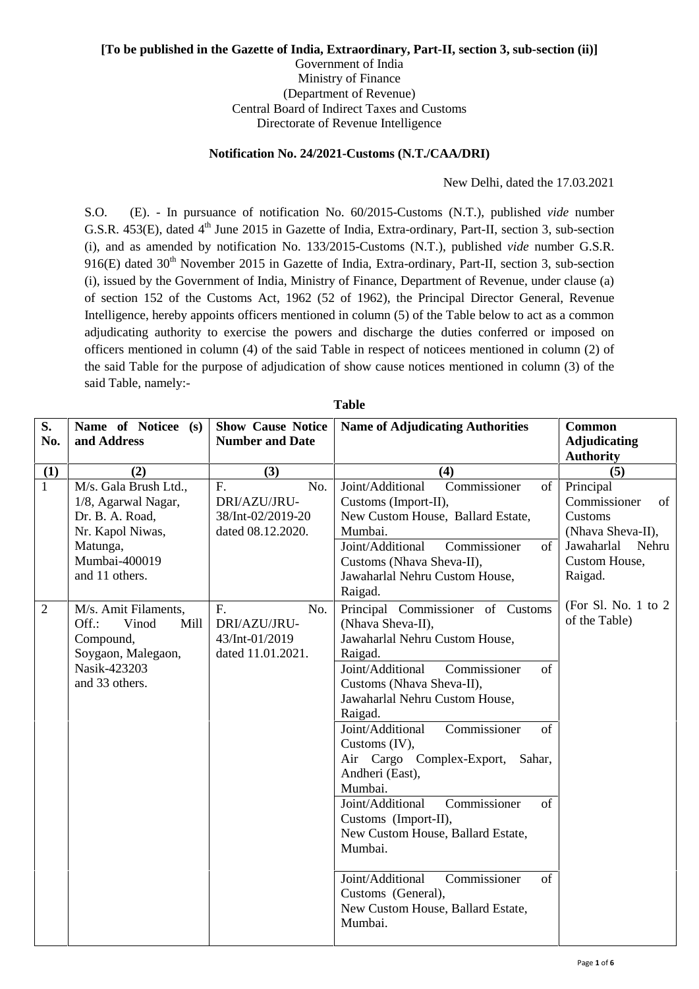## **[To be published in the Gazette of India, Extraordinary, Part-II, section 3, sub-section (ii)]**

Government of India Ministry of Finance (Department of Revenue) Central Board of Indirect Taxes and Customs Directorate of Revenue Intelligence

## **Notification No. 24/2021-Customs (N.T./CAA/DRI)**

New Delhi, dated the 17.03.2021

S.O. (E). - In pursuance of notification No. 60/2015-Customs (N.T.), published *vide* number G.S.R. 453(E), dated 4<sup>th</sup> June 2015 in Gazette of India, Extra-ordinary, Part-II, section 3, sub-section (i), and as amended by notification No. 133/2015-Customs (N.T.), published *vide* number G.S.R. 916(E) dated  $30<sup>th</sup>$  November 2015 in Gazette of India, Extra-ordinary, Part-II, section 3, sub-section (i), issued by the Government of India, Ministry of Finance, Department of Revenue, under clause (a) of section 152 of the Customs Act, 1962 (52 of 1962), the Principal Director General, Revenue Intelligence, hereby appoints officers mentioned in column (5) of the Table below to act as a common adjudicating authority to exercise the powers and discharge the duties conferred or imposed on officers mentioned in column (4) of the said Table in respect of noticees mentioned in column (2) of the said Table for the purpose of adjudication of show cause notices mentioned in column (3) of the said Table, namely:-

| S.<br>No.      | Name of Noticee (s)<br>and Address                                                                                                 | <b>Show Cause Notice</b><br><b>Number and Date</b>                  | <b>Name of Adjudicating Authorities</b>                                                                                                                                                                                                                                                                                                                                                                                                                                                                                                                                                   | Common<br><b>Adjudicating</b><br><b>Authority</b>                                                                  |
|----------------|------------------------------------------------------------------------------------------------------------------------------------|---------------------------------------------------------------------|-------------------------------------------------------------------------------------------------------------------------------------------------------------------------------------------------------------------------------------------------------------------------------------------------------------------------------------------------------------------------------------------------------------------------------------------------------------------------------------------------------------------------------------------------------------------------------------------|--------------------------------------------------------------------------------------------------------------------|
| (1)            | (2)                                                                                                                                | (3)                                                                 | (4)                                                                                                                                                                                                                                                                                                                                                                                                                                                                                                                                                                                       | (5)                                                                                                                |
| $\mathbf{1}$   | M/s. Gala Brush Ltd.,<br>1/8, Agarwal Nagar,<br>Dr. B. A. Road,<br>Nr. Kapol Niwas,<br>Matunga,<br>Mumbai-400019<br>and 11 others. | F.<br>No.<br>DRI/AZU/JRU-<br>38/Int-02/2019-20<br>dated 08.12.2020. | Joint/Additional<br>Commissioner<br>of<br>Customs (Import-II),<br>New Custom House, Ballard Estate,<br>Mumbai.<br>Joint/Additional<br>Commissioner<br>of<br>Customs (Nhava Sheva-II),<br>Jawaharlal Nehru Custom House,<br>Raigad.                                                                                                                                                                                                                                                                                                                                                        | Principal<br>Commissioner<br>of<br>Customs<br>(Nhava Sheva-II),<br>Jawaharlal<br>Nehru<br>Custom House,<br>Raigad. |
| $\overline{2}$ | M/s. Amit Filaments,<br>Vinod<br>Off.:<br>Mill<br>Compound,<br>Soygaon, Malegaon,<br>Nasik-423203<br>and 33 others.                | F.<br>No.<br>DRI/AZU/JRU-<br>43/Int-01/2019<br>dated 11.01.2021.    | Principal Commissioner of Customs<br>(Nhava Sheva-II),<br>Jawaharlal Nehru Custom House,<br>Raigad.<br>Commissioner<br>Joint/Additional<br>of<br>Customs (Nhava Sheva-II),<br>Jawaharlal Nehru Custom House,<br>Raigad.<br>Joint/Additional<br>Commissioner<br>of<br>Customs (IV),<br>Air Cargo Complex-Export,<br>Sahar,<br>Andheri (East),<br>Mumbai.<br>Joint/Additional<br>Commissioner<br>of<br>Customs (Import-II),<br>New Custom House, Ballard Estate,<br>Mumbai.<br>Joint/Additional<br>Commissioner<br>of<br>Customs (General),<br>New Custom House, Ballard Estate,<br>Mumbai. | (For Sl. No. 1 to $2$<br>of the Table)                                                                             |

**Table**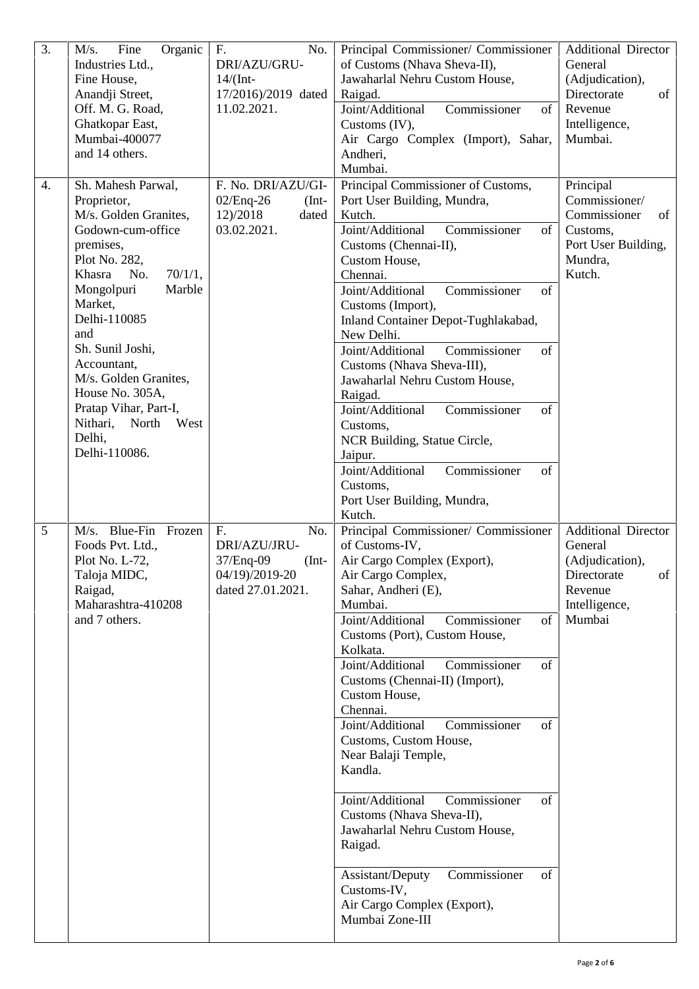| 3. | Organic<br>Fine<br>M/s.<br>Industries Ltd.,<br>Fine House,<br>Anandji Street,<br>Off. M. G. Road,<br>Ghatkopar East,<br>Mumbai-400077<br>and 14 others.                                                                                                                                                                                                             | F.<br>No.<br>DRI/AZU/GRU-<br>$14/$ (Int-<br>17/2016)/2019 dated<br>11.02.2021.           | Principal Commissioner/ Commissioner<br>of Customs (Nhava Sheva-II),<br>Jawaharlal Nehru Custom House,<br>Raigad.<br>Joint/Additional<br>Commissioner<br>of<br>Customs $(IV)$ ,<br>Air Cargo Complex (Import), Sahar,<br>Andheri,<br>Mumbai.                                                                                                                                                                                                                                                                                                                                                                                                                                       | <b>Additional Director</b><br>General<br>(Adjudication),<br>Directorate<br>of<br>Revenue<br>Intelligence,<br>Mumbai. |
|----|---------------------------------------------------------------------------------------------------------------------------------------------------------------------------------------------------------------------------------------------------------------------------------------------------------------------------------------------------------------------|------------------------------------------------------------------------------------------|------------------------------------------------------------------------------------------------------------------------------------------------------------------------------------------------------------------------------------------------------------------------------------------------------------------------------------------------------------------------------------------------------------------------------------------------------------------------------------------------------------------------------------------------------------------------------------------------------------------------------------------------------------------------------------|----------------------------------------------------------------------------------------------------------------------|
| 4. | Sh. Mahesh Parwal,<br>Proprietor,<br>M/s. Golden Granites,<br>Godown-cum-office<br>premises,<br>Plot No. 282,<br>Khasra<br>No.<br>70/1/1,<br>Marble<br>Mongolpuri<br>Market,<br>Delhi-110085<br>and<br>Sh. Sunil Joshi,<br>Accountant,<br>M/s. Golden Granites,<br>House No. 305A,<br>Pratap Vihar, Part-I,<br>Nithari,<br>North<br>West<br>Delhi,<br>Delhi-110086. | F. No. DRI/AZU/GI-<br>$02/Eng-26$<br>$(Int-$<br>12)/2018<br>dated<br>03.02.2021.         | Principal Commissioner of Customs,<br>Port User Building, Mundra,<br>Kutch.<br>Joint/Additional<br>Commissioner<br>of<br>Customs (Chennai-II),<br>Custom House,<br>Chennai.<br>Joint/Additional<br>Commissioner<br>of<br>Customs (Import),<br>Inland Container Depot-Tughlakabad,<br>New Delhi.<br>Joint/Additional<br>Commissioner<br>of<br>Customs (Nhava Sheva-III),<br>Jawaharlal Nehru Custom House,<br>Raigad.<br>Joint/Additional<br>Commissioner<br>of<br>Customs,<br>NCR Building, Statue Circle,<br>Jaipur.<br>Joint/Additional<br>Commissioner<br>of<br>Customs,<br>Port User Building, Mundra,<br>Kutch.                                                               | Principal<br>Commissioner/<br>Commissioner<br>of<br>Customs,<br>Port User Building,<br>Mundra,<br>Kutch.             |
| 5  | $M/s.$ Blue-Fin<br>Frozen<br>Foods Pvt. Ltd.,<br>Plot No. L-72,<br>Taloja MIDC,<br>Raigad,<br>Maharashtra-410208<br>and 7 others.                                                                                                                                                                                                                                   | F.<br>No.<br>DRI/AZU/JRU-<br>37/Enq-09<br>$(Int-$<br>04/19)/2019-20<br>dated 27.01.2021. | Principal Commissioner/ Commissioner<br>of Customs-IV,<br>Air Cargo Complex (Export),<br>Air Cargo Complex,<br>Sahar, Andheri (E),<br>Mumbai.<br>Commissioner<br>Joint/Additional<br>of<br>Customs (Port), Custom House,<br>Kolkata.<br>Joint/Additional<br>Commissioner<br>of<br>Customs (Chennai-II) (Import),<br>Custom House,<br>Chennai.<br>Commissioner<br>Joint/Additional<br>of<br>Customs, Custom House,<br>Near Balaji Temple,<br>Kandla.<br>Joint/Additional<br>Commissioner<br>of<br>Customs (Nhava Sheva-II),<br>Jawaharlal Nehru Custom House,<br>Raigad.<br>Commissioner<br>Assistant/Deputy<br>of<br>Customs-IV,<br>Air Cargo Complex (Export),<br>Mumbai Zone-III | <b>Additional Director</b><br>General<br>(Adjudication),<br>Directorate<br>οf<br>Revenue<br>Intelligence,<br>Mumbai  |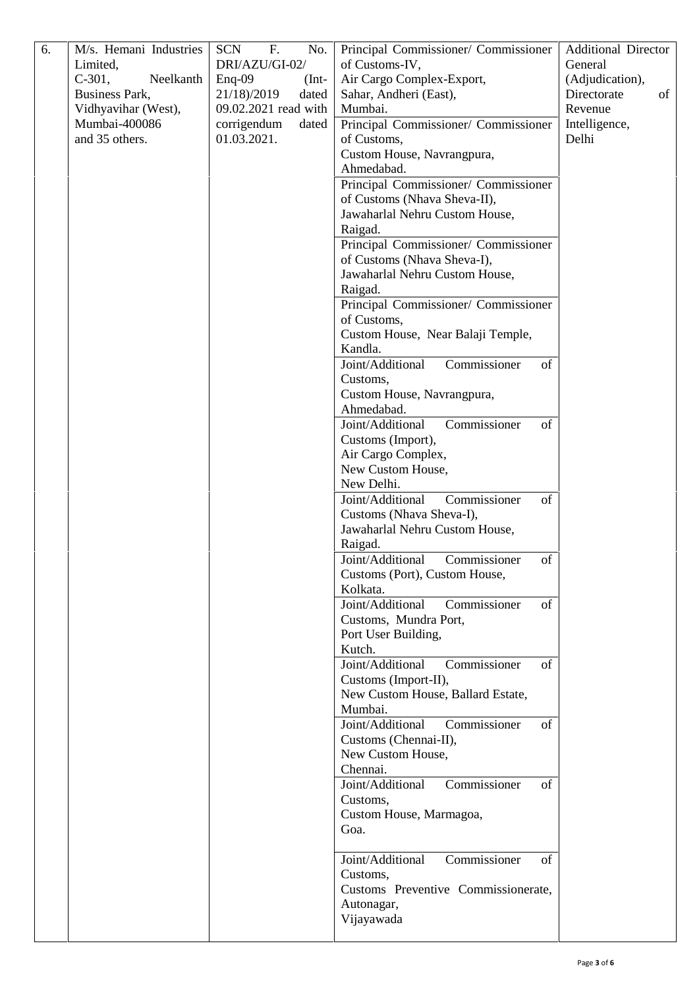| 6. | M/s. Hemani Industries<br>Limited, | F.<br><b>SCN</b><br>No.<br>DRI/AZU/GI-02/ | Principal Commissioner/ Commissioner<br>of Customs-IV,               | <b>Additional Director</b><br>General |
|----|------------------------------------|-------------------------------------------|----------------------------------------------------------------------|---------------------------------------|
|    | $C-301$ ,<br>Neelkanth             | $Enq-09$<br>$(Int-$                       | Air Cargo Complex-Export,                                            | (Adjudication),                       |
|    | Business Park,                     | 21/18)/2019<br>dated                      | Sahar, Andheri (East),                                               | Directorate<br>of                     |
|    | Vidhyavihar (West),                | 09.02.2021 read with                      | Mumbai.                                                              | Revenue                               |
|    | Mumbai-400086                      | corrigendum<br>dated                      | Principal Commissioner/ Commissioner                                 | Intelligence,                         |
|    | and 35 others.                     | 01.03.2021.                               | of Customs,                                                          | Delhi                                 |
|    |                                    |                                           | Custom House, Navrangpura,                                           |                                       |
|    |                                    |                                           | Ahmedabad.                                                           |                                       |
|    |                                    |                                           | Principal Commissioner/ Commissioner<br>of Customs (Nhava Sheva-II), |                                       |
|    |                                    |                                           | Jawaharlal Nehru Custom House,                                       |                                       |
|    |                                    |                                           | Raigad.                                                              |                                       |
|    |                                    |                                           | Principal Commissioner/ Commissioner                                 |                                       |
|    |                                    |                                           | of Customs (Nhava Sheva-I),                                          |                                       |
|    |                                    |                                           | Jawaharlal Nehru Custom House,                                       |                                       |
|    |                                    |                                           | Raigad.                                                              |                                       |
|    |                                    |                                           | Principal Commissioner/ Commissioner                                 |                                       |
|    |                                    |                                           | of Customs,                                                          |                                       |
|    |                                    |                                           | Custom House, Near Balaji Temple,                                    |                                       |
|    |                                    |                                           | Kandla.                                                              |                                       |
|    |                                    |                                           | Joint/Additional<br>Commissioner<br>of<br>Customs,                   |                                       |
|    |                                    |                                           | Custom House, Navrangpura,                                           |                                       |
|    |                                    |                                           | Ahmedabad.                                                           |                                       |
|    |                                    |                                           | Commissioner<br>Joint/Additional<br>of                               |                                       |
|    |                                    |                                           | Customs (Import),                                                    |                                       |
|    |                                    |                                           | Air Cargo Complex,                                                   |                                       |
|    |                                    |                                           | New Custom House,                                                    |                                       |
|    |                                    |                                           | New Delhi.                                                           |                                       |
|    |                                    |                                           | Joint/Additional<br>Commissioner<br>of<br>Customs (Nhava Sheva-I),   |                                       |
|    |                                    |                                           | Jawaharlal Nehru Custom House,                                       |                                       |
|    |                                    |                                           | Raigad.                                                              |                                       |
|    |                                    |                                           | Joint/Additional<br>Commissioner<br>of                               |                                       |
|    |                                    |                                           | Customs (Port), Custom House,                                        |                                       |
|    |                                    |                                           | Kolkata.                                                             |                                       |
|    |                                    |                                           | Joint/Additional<br>Commissioner<br>of                               |                                       |
|    |                                    |                                           | Customs, Mundra Port,                                                |                                       |
|    |                                    |                                           | Port User Building,                                                  |                                       |
|    |                                    |                                           | Kutch.                                                               |                                       |
|    |                                    |                                           | Commissioner<br>Joint/Additional<br>of                               |                                       |
|    |                                    |                                           | Customs (Import-II),<br>New Custom House, Ballard Estate,            |                                       |
|    |                                    |                                           | Mumbai.                                                              |                                       |
|    |                                    |                                           | Joint/Additional<br>Commissioner<br>of                               |                                       |
|    |                                    |                                           | Customs (Chennai-II),                                                |                                       |
|    |                                    |                                           | New Custom House,                                                    |                                       |
|    |                                    |                                           | Chennai.                                                             |                                       |
|    |                                    |                                           | Joint/Additional<br>Commissioner<br>of                               |                                       |
|    |                                    |                                           | Customs,                                                             |                                       |
|    |                                    |                                           | Custom House, Marmagoa,                                              |                                       |
|    |                                    |                                           | Goa.                                                                 |                                       |
|    |                                    |                                           | Joint/Additional                                                     |                                       |
|    |                                    |                                           | Commissioner<br>of<br>Customs,                                       |                                       |
|    |                                    |                                           | Customs Preventive Commissionerate,                                  |                                       |
|    |                                    |                                           | Autonagar,                                                           |                                       |
|    |                                    |                                           | Vijayawada                                                           |                                       |
|    |                                    |                                           |                                                                      |                                       |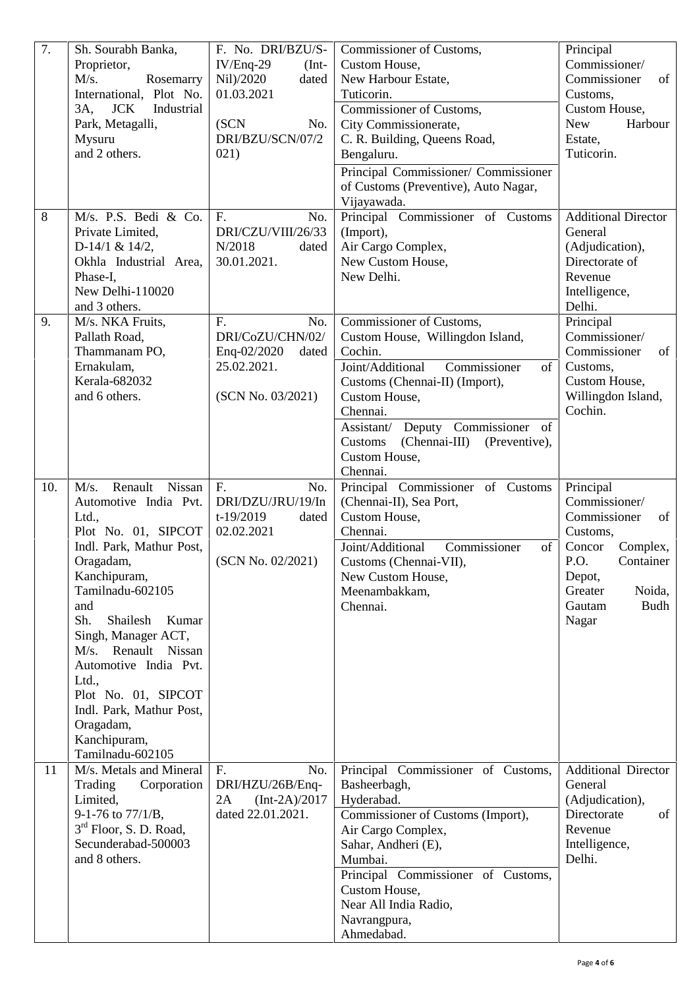| 7.      | Sh. Sourabh Banka,<br>Proprietor,<br>M/s.<br>Rosemarry<br>International, Plot No.<br><b>JCK</b><br>3A,<br>Industrial<br>Park, Metagalli,<br>Mysuru<br>and 2 others.                                                                                                                                                                                                                    | F. No. DRI/BZU/S-<br>$IV/Eng-29$<br>$(Int-$<br>Nil)/2020<br>dated<br>01.03.2021<br>(SCN<br>No.<br>DRI/BZU/SCN/07/2<br>021)                                     | Commissioner of Customs,<br>Custom House,<br>New Harbour Estate,<br>Tuticorin.<br>Commissioner of Customs,<br>City Commissionerate,<br>C. R. Building, Queens Road,<br>Bengaluru.<br>Principal Commissioner/ Commissioner<br>of Customs (Preventive), Auto Nagar,<br>Vijayawada.                                                                                                                        | Principal<br>Commissioner/<br>Commissioner<br>of<br>Customs,<br>Custom House,<br><b>New</b><br>Harbour<br>Estate,<br>Tuticorin.                                                                                                    |
|---------|----------------------------------------------------------------------------------------------------------------------------------------------------------------------------------------------------------------------------------------------------------------------------------------------------------------------------------------------------------------------------------------|----------------------------------------------------------------------------------------------------------------------------------------------------------------|---------------------------------------------------------------------------------------------------------------------------------------------------------------------------------------------------------------------------------------------------------------------------------------------------------------------------------------------------------------------------------------------------------|------------------------------------------------------------------------------------------------------------------------------------------------------------------------------------------------------------------------------------|
| 8<br>9. | M/s. P.S. Bedi & Co.<br>Private Limited,<br>D-14/1 & 14/2,<br>Okhla Industrial Area,<br>Phase-I.<br>New Delhi-110020<br>and 3 others.<br>M/s. NKA Fruits,<br>Pallath Road,<br>Thammanam PO,<br>Ernakulam,<br>Kerala-682032<br>and 6 others.                                                                                                                                            | F.<br>No.<br>DRI/CZU/VIII/26/33<br>N/2018<br>dated<br>30.01.2021.<br>F.<br>No.<br>DRI/CoZU/CHN/02/<br>Enq-02/2020<br>dated<br>25.02.2021.<br>(SCN No. 03/2021) | Principal Commissioner of Customs<br>(Import),<br>Air Cargo Complex,<br>New Custom House,<br>New Delhi.<br>Commissioner of Customs,<br>Custom House, Willingdon Island,<br>Cochin.<br>Commissioner<br>Joint/Additional<br>of<br>Customs (Chennai-II) (Import),<br>Custom House,<br>Chennai.<br>Assistant/ Deputy Commissioner of<br>(Chennai-III) (Preventive),<br>Customs<br>Custom House,<br>Chennai. | <b>Additional Director</b><br>General<br>(Adjudication),<br>Directorate of<br>Revenue<br>Intelligence,<br>Delhi.<br>Principal<br>Commissioner/<br>Commissioner<br>of<br>Customs,<br>Custom House,<br>Willingdon Island,<br>Cochin. |
| 10.     | M/s.<br>Renault<br>Nissan<br>Automotive India Pvt.<br>Ltd.,<br>Plot No. 01, SIPCOT<br>Indl. Park, Mathur Post,<br>Oragadam,<br>Kanchipuram,<br>Tamilnadu-602105<br>and<br>Sh.<br>Shailesh<br>Kumar<br>Singh, Manager ACT,<br>M/s. Renault Nissan<br>Automotive India Pvt.<br>Ltd.,<br>Plot No. 01, SIPCOT<br>Indl. Park, Mathur Post,<br>Oragadam,<br>Kanchipuram,<br>Tamilnadu-602105 | F <sub>r</sub><br>No.<br>DRI/DZU/JRU/19/In<br>t-19/2019<br>dated<br>02.02.2021<br>(SCN No. 02/2021)                                                            | Principal Commissioner of Customs<br>(Chennai-II), Sea Port,<br>Custom House,<br>Chennai.<br>Commissioner<br>Joint/Additional<br>of<br>Customs (Chennai-VII),<br>New Custom House,<br>Meenambakkam,<br>Chennai.                                                                                                                                                                                         | Principal<br>Commissioner/<br>Commissioner<br>of<br>Customs,<br>Complex,<br>Concor<br>P.O.<br>Container<br>Depot,<br>Greater<br>Noida,<br><b>Budh</b><br>Gautam<br>Nagar                                                           |
| 11      | M/s. Metals and Mineral<br>Trading<br>Corporation<br>Limited,<br>9-1-76 to 77/1/B,<br>3 <sup>rd</sup> Floor, S. D. Road,<br>Secunderabad-500003<br>and 8 others.                                                                                                                                                                                                                       | No.<br>F.<br>DRI/HZU/26B/Enq-<br>2A<br>$[Int-2A)/2017$<br>dated 22.01.2021.                                                                                    | Principal Commissioner of Customs,<br>Basheerbagh,<br>Hyderabad.<br>Commissioner of Customs (Import),<br>Air Cargo Complex,<br>Sahar, Andheri (E),<br>Mumbai.<br>Principal Commissioner of Customs,<br>Custom House,<br>Near All India Radio,<br>Navrangpura,<br>Ahmedabad.                                                                                                                             | <b>Additional Director</b><br>General<br>(Adjudication),<br>Directorate<br>of<br>Revenue<br>Intelligence,<br>Delhi.                                                                                                                |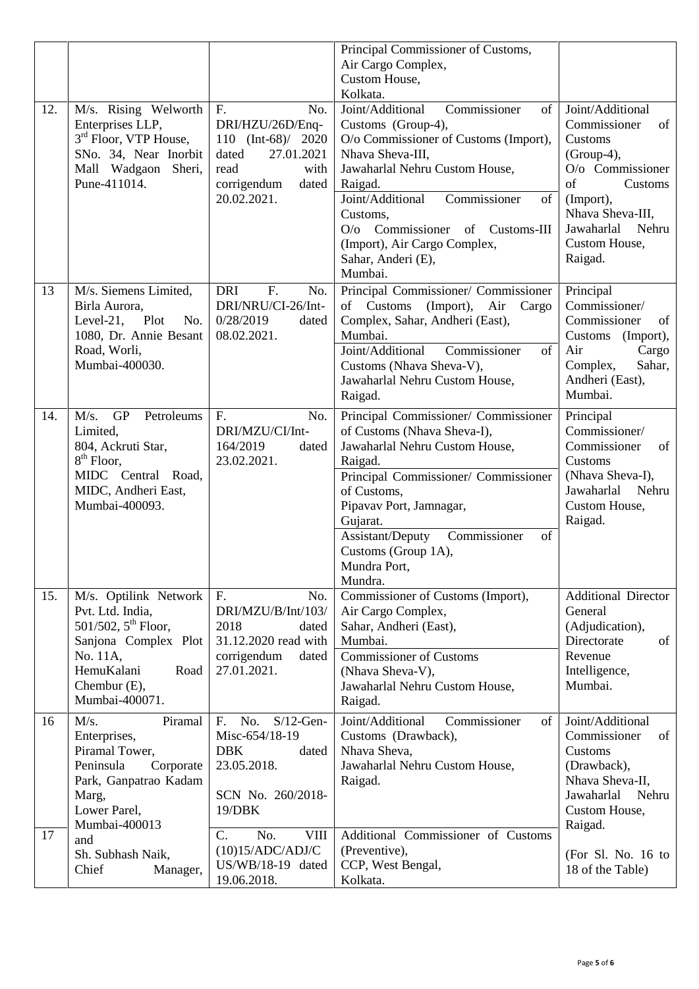|     |                                                                                                                                                                   |                                                                                                                                                | Principal Commissioner of Customs,<br>Air Cargo Complex,<br>Custom House,<br>Kolkata.                                                                                                                                                                                                                                               |                                                                                                                                                                                            |
|-----|-------------------------------------------------------------------------------------------------------------------------------------------------------------------|------------------------------------------------------------------------------------------------------------------------------------------------|-------------------------------------------------------------------------------------------------------------------------------------------------------------------------------------------------------------------------------------------------------------------------------------------------------------------------------------|--------------------------------------------------------------------------------------------------------------------------------------------------------------------------------------------|
| 12. | M/s. Rising Welworth<br>Enterprises LLP,<br>3 <sup>rd</sup> Floor, VTP House,<br>SNo. 34, Near Inorbit<br>Mall Wadgaon<br>Sheri,<br>Pune-411014.                  | F <sub>r</sub><br>No.<br>DRI/HZU/26D/Enq-<br>110 $(Int-68)/2020$<br>27.01.2021<br>dated<br>read<br>with<br>corrigendum<br>dated<br>20.02.2021. | Joint/Additional<br>Commissioner<br>of<br>Customs (Group-4),<br>O/o Commissioner of Customs (Import),<br>Nhava Sheva-III,<br>Jawaharlal Nehru Custom House,<br>Raigad.<br>Joint/Additional<br>Commissioner<br>of<br>Customs,<br>Commissioner of Customs-III<br>O/O<br>(Import), Air Cargo Complex,<br>Sahar, Anderi (E),<br>Mumbai. | Joint/Additional<br>Commissioner<br>of<br>Customs<br>$(Group-4),$<br>O/o Commissioner<br>of<br>Customs<br>(Import),<br>Nhava Sheva-III.<br>Jawaharlal<br>Nehru<br>Custom House,<br>Raigad. |
| 13  | M/s. Siemens Limited,<br>Birla Aurora,<br>Level-21,<br>Plot<br>No.<br>1080, Dr. Annie Besant<br>Road, Worli,<br>Mumbai-400030.                                    | <b>DRI</b><br>F.<br>No.<br>DRI/NRU/CI-26/Int-<br>0/28/2019<br>dated<br>08.02.2021.                                                             | Principal Commissioner/ Commissioner<br>(Import),<br>of Customs<br>Air<br>Cargo<br>Complex, Sahar, Andheri (East),<br>Mumbai.<br>Joint/Additional<br>Commissioner<br>of<br>Customs (Nhava Sheva-V),<br>Jawaharlal Nehru Custom House,<br>Raigad.                                                                                    | Principal<br>Commissioner/<br>Commissioner<br>of<br>Customs (Import),<br>Air<br>Cargo<br>Complex,<br>Sahar,<br>Andheri (East),<br>Mumbai.                                                  |
| 14. | <b>GP</b><br>M/s.<br>Petroleums<br>Limited,<br>804, Ackruti Star,<br>$8th$ Floor,<br>MIDC Central Road,<br>MIDC, Andheri East,<br>Mumbai-400093.                  | F.<br>No.<br>DRI/MZU/CI/Int-<br>164/2019<br>dated<br>23.02.2021.                                                                               | Principal Commissioner/ Commissioner<br>of Customs (Nhava Sheva-I),<br>Jawaharlal Nehru Custom House,<br>Raigad.<br>Principal Commissioner/ Commissioner<br>of Customs,<br>Pipavav Port, Jamnagar,<br>Gujarat.<br>Commissioner<br>Assistant/Deputy<br>of<br>Customs (Group 1A),<br>Mundra Port.<br>Mundra.                          | Principal<br>Commissioner/<br>Commissioner<br>of<br>Customs<br>(Nhava Sheva-I),<br>Jawaharlal<br>Nehru<br>Custom House,<br>Raigad.                                                         |
| 15. | M/s. Optilink Network<br>Pvt. Ltd. India,<br>501/502, $5^{th}$ Floor,<br>Sanjona Complex Plot<br>No. 11A,<br>HemuKalani<br>Road<br>Chembur (E),<br>Mumbai-400071. | F.<br>No.<br>DRI/MZU/B/Int/103/<br>2018<br>dated<br>31.12.2020 read with<br>corrigendum<br>dated<br>27.01.2021.                                | Commissioner of Customs (Import),<br>Air Cargo Complex,<br>Sahar, Andheri (East),<br>Mumbai.<br><b>Commissioner of Customs</b><br>(Nhava Sheva-V),<br>Jawaharlal Nehru Custom House,<br>Raigad.                                                                                                                                     | <b>Additional Director</b><br>General<br>(Adjudication),<br>Directorate<br>of<br>Revenue<br>Intelligence,<br>Mumbai.                                                                       |
| 16  | M/s.<br>Piramal<br>Enterprises,<br>Piramal Tower,<br>Corporate<br>Peninsula<br>Park, Ganpatrao Kadam<br>Marg,<br>Lower Parel,<br>Mumbai-400013                    | No.<br>$S/12$ -Gen-<br>F <sub>r</sub><br>Misc-654/18-19<br><b>DBK</b><br>dated<br>23.05.2018.<br>SCN No. 260/2018-<br>19/DBK                   | Joint/Additional<br>Commissioner<br>of<br>Customs (Drawback),<br>Nhava Sheva,<br>Jawaharlal Nehru Custom House,<br>Raigad.                                                                                                                                                                                                          | Joint/Additional<br>Commissioner<br>of<br>Customs<br>(Drawback),<br>Nhava Sheva-II,<br>Jawaharlal<br>Nehru<br>Custom House,<br>Raigad.                                                     |
| 17  | and<br>Sh. Subhash Naik,<br>Chief<br>Manager,                                                                                                                     | C.<br>No.<br><b>VIII</b><br>(10)15/ADC/ADJ/C<br>$US/WB/18-19$ dated<br>19.06.2018.                                                             | Additional Commissioner of Customs<br>(Preventive),<br>CCP, West Bengal,<br>Kolkata.                                                                                                                                                                                                                                                | (For Sl. No. 16 to<br>18 of the Table)                                                                                                                                                     |